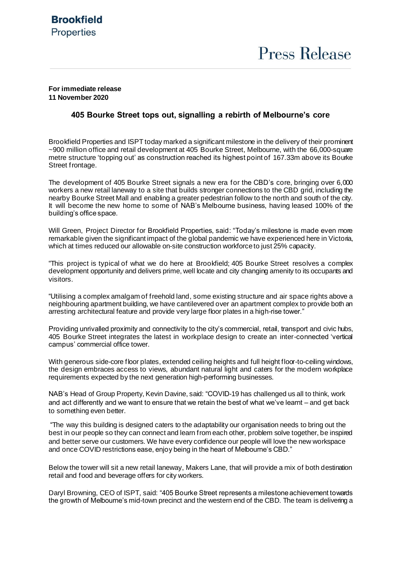## **For immediate release 11 November 2020**

## **405 Bourke Street tops out, signalling a rebirth of Melbourne's core**

Brookfield Properties and ISPT today marked a significant milestone in the delivery of their prominent ~900 million office and retail development at 405 Bourke Street, Melbourne, with the 66,000-square metre structure 'topping out' as construction reached its highest point of 167.33m above its Bourke Street frontage.

The development of 405 Bourke Street signals a new era for the CBD's core, bringing over 6,000 workers a new retail laneway to a site that builds stronger connections to the CBD grid, including the nearby Bourke Street Mall and enabling a greater pedestrian follow to the north and south of the city. It will become the new home to some of NAB's Melbourne business, having leased 100% of the building's office space.

Will Green, Project Director for Brookfield Properties, said: "Today's milestone is made even more remarkable given the significant impact of the global pandemic we have experienced here in Victoria, which at times reduced our allowable on-site construction workforce to just 25% capacity.

"This project is typical of what we do here at Brookfield; 405 Bourke Street resolves a complex development opportunity and delivers prime, well locate and city changing amenity to its occupants and visitors.

"Utilising a complex amalgam of freehold land, some existing structure and air space rights above a neighbouring apartment building, we have cantilevered over an apartment complex to provide both an arresting architectural feature and provide very large floor plates in a high-rise tower."

Providing unrivalled proximity and connectivity to the city's commercial, retail, transport and civic hubs, 405 Bourke Street integrates the latest in workplace design to create an inter-connected 'vertical campus' commercial office tower.

With generous side-core floor plates, extended ceiling heights and full height floor-to-ceiling windows, the design embraces access to views, abundant natural light and caters for the modern workplace requirements expected by the next generation high-performing businesses.

NAB's Head of Group Property, Kevin Davine, said: "COVID-19 has challenged us all to think, work and act differently and we want to ensure that we retain the best of what we've learnt – and get back to something even better.

"The way this building is designed caters to the adaptability our organisation needs to bring out the best in our people so they can connect and learn from each other, problem solve together, be inspired and better serve our customers. We have every confidence our people will love the new workspace and once COVID restrictions ease, enjoy being in the heart of Melbourne's CBD."

Below the tower will sit a new retail laneway, Makers Lane, that will provide a mix of both destination retail and food and beverage offers for city workers.

Daryl Browning, CEO of ISPT, said: "405 Bourke Street represents a milestone achievement towards the growth of Melbourne's mid-town precinct and the western end of the CBD. The team is delivering a